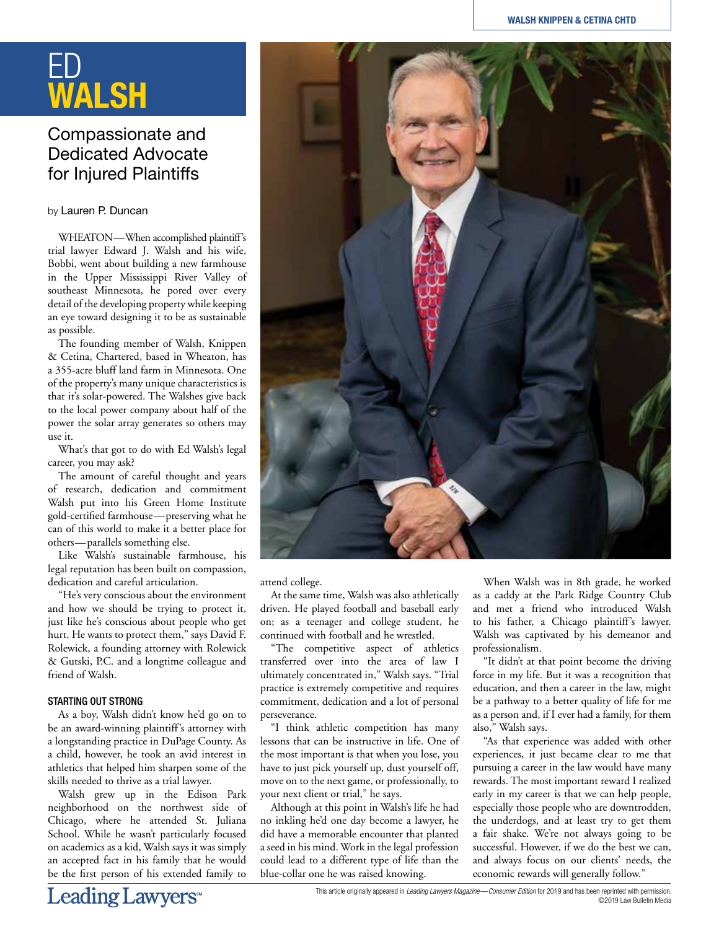# ED **WALSH**

## Compassionate and Dedicated Advocate for Injured Plaintiffs

#### by Lauren P. Duncan

WHEATON—When accomplished plaintiff's trial lawyer Edward J. Walsh and his wife, Bobbi, went about building a new farmhouse in the Upper Mississippi River Valley of southeast Minnesota, he pored over every detail of the developing property while keeping an eye toward designing it to be as sustainable as possible.

The founding member of Walsh, Knippen & Cetina, Chartered, based in Wheaton, has a 355-acre bluff land farm in Minnesota. One of the property's many unique characteristics is that it's solar-powered. The Walshes give back to the local power company about half of the power the solar array generates so others may use it.

What's that got to do with Ed Walsh's legal career, you may ask?

The amount of careful thought and years of research, dedication and commitment Walsh put into his Green Home Institute gold-certified farmhouse—preserving what he can of this world to make it a better place for others—parallels something else.

Like Walsh's sustainable farmhouse, his legal reputation has been built on compassion, dedication and careful articulation.

"He's very conscious about the environment and how we should be trying to protect it, just like he's conscious about people who get hurt. He wants to protect them," says David F. Rolewick, a founding attorney with Rolewick & Gutski, P.C. and a longtime colleague and friend of Walsh.

### STARTING OUT STRONG

As a boy, Walsh didn't know he'd go on to be an award-winning plaintiff's attorney with a longstanding practice in DuPage County. As a child, however, he took an avid interest in athletics that helped him sharpen some of the skills needed to thrive as a trial lawyer.

Walsh grew up in the Edison Park neighborhood on the northwest side of Chicago, where he attended St. Juliana School. While he wasn't particularly focused on academics as a kid, Walsh says it was simply an accepted fact in his family that he would be the first person of his extended family to



attend college.

At the same time, Walsh was also athletically driven. He played football and baseball early on; as a teenager and college student, he continued with football and he wrestled.

"The competitive aspect of athletics transferred over into the area of law I ultimately concentrated in," Walsh says. "Trial practice is extremely competitive and requires commitment, dedication and a lot of personal perseverance.

"I think athletic competition has many lessons that can be instructive in life. One of the most important is that when you lose, you have to just pick yourself up, dust yourself off, move on to the next game, or professionally, to your next client or trial," he says.

Although at this point in Walsh's life he had no inkling he'd one day become a lawyer, he did have a memorable encounter that planted a seed in his mind. Work in the legal profession could lead to a different type of life than the blue-collar one he was raised knowing.

When Walsh was in 8th grade, he worked as a caddy at the Park Ridge Country Club and met a friend who introduced Walsh to his father, a Chicago plaintiff's lawyer. Walsh was captivated by his demeanor and professionalism.

"It didn't at that point become the driving force in my life. But it was a recognition that education, and then a career in the law, might be a pathway to a better quality of life for me as a person and, if I ever had a family, for them also," Walsh says.

"As that experience was added with other experiences, it just became clear to me that pursuing a career in the law would have many rewards. The most important reward I realized early in my career is that we can help people, especially those people who are downtrodden, the underdogs, and at least try to get them a fair shake. We're not always going to be successful. However, if we do the best we can, and always focus on our clients' needs, the economic rewards will generally follow."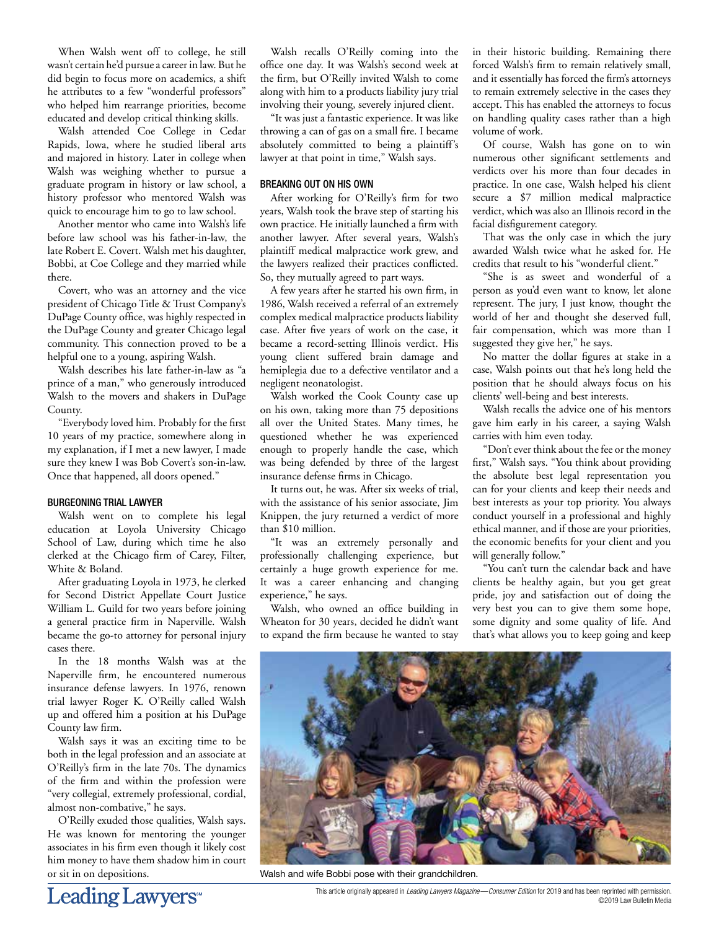When Walsh went off to college, he still wasn't certain he'd pursue a career in law. But he did begin to focus more on academics, a shift he attributes to a few "wonderful professors" who helped him rearrange priorities, become educated and develop critical thinking skills.

Walsh attended Coe College in Cedar Rapids, Iowa, where he studied liberal arts and majored in history. Later in college when Walsh was weighing whether to pursue a graduate program in history or law school, a history professor who mentored Walsh was quick to encourage him to go to law school.

Another mentor who came into Walsh's life before law school was his father-in-law, the late Robert E. Covert. Walsh met his daughter, Bobbi, at Coe College and they married while there.

Covert, who was an attorney and the vice president of Chicago Title & Trust Company's DuPage County office, was highly respected in the DuPage County and greater Chicago legal community. This connection proved to be a helpful one to a young, aspiring Walsh.

Walsh describes his late father-in-law as "a prince of a man," who generously introduced Walsh to the movers and shakers in DuPage County.

"Everybody loved him. Probably for the first 10 years of my practice, somewhere along in my explanation, if I met a new lawyer, I made sure they knew I was Bob Covert's son-in-law. Once that happened, all doors opened."

#### BURGEONING TRIAL LAWYER

Walsh went on to complete his legal education at Loyola University Chicago School of Law, during which time he also clerked at the Chicago firm of Carey, Filter, White & Boland.

After graduating Loyola in 1973, he clerked for Second District Appellate Court Justice William L. Guild for two years before joining a general practice firm in Naperville. Walsh became the go-to attorney for personal injury cases there.

In the 18 months Walsh was at the Naperville firm, he encountered numerous insurance defense lawyers. In 1976, renown trial lawyer Roger K. O'Reilly called Walsh up and offered him a position at his DuPage County law firm.

Walsh says it was an exciting time to be both in the legal profession and an associate at O'Reilly's firm in the late 70s. The dynamics of the firm and within the profession were "very collegial, extremely professional, cordial, almost non-combative," he says.

O'Reilly exuded those qualities, Walsh says. He was known for mentoring the younger associates in his firm even though it likely cost him money to have them shadow him in court or sit in on depositions.

Leading Lawyers<sup>\*</sup>

Walsh recalls O'Reilly coming into the office one day. It was Walsh's second week at the firm, but O'Reilly invited Walsh to come along with him to a products liability jury trial involving their young, severely injured client.

"It was just a fantastic experience. It was like throwing a can of gas on a small fire. I became absolutely committed to being a plaintiff's lawyer at that point in time," Walsh says.

#### BREAKING OUT ON HIS OWN

After working for O'Reilly's firm for two years, Walsh took the brave step of starting his own practice. He initially launched a firm with another lawyer. After several years, Walsh's plaintiff medical malpractice work grew, and the lawyers realized their practices conflicted. So, they mutually agreed to part ways.

A few years after he started his own firm, in 1986, Walsh received a referral of an extremely complex medical malpractice products liability case. After five years of work on the case, it became a record-setting Illinois verdict. His young client suffered brain damage and hemiplegia due to a defective ventilator and a negligent neonatologist.

Walsh worked the Cook County case up on his own, taking more than 75 depositions all over the United States. Many times, he questioned whether he was experienced enough to properly handle the case, which was being defended by three of the largest insurance defense firms in Chicago.

It turns out, he was. After six weeks of trial, with the assistance of his senior associate, Jim Knippen, the jury returned a verdict of more than \$10 million.

"It was an extremely personally and professionally challenging experience, but certainly a huge growth experience for me. It was a career enhancing and changing experience," he says.

Walsh, who owned an office building in Wheaton for 30 years, decided he didn't want to expand the firm because he wanted to stay in their historic building. Remaining there forced Walsh's firm to remain relatively small, and it essentially has forced the firm's attorneys to remain extremely selective in the cases they accept. This has enabled the attorneys to focus on handling quality cases rather than a high volume of work.

Of course, Walsh has gone on to win numerous other significant settlements and verdicts over his more than four decades in practice. In one case, Walsh helped his client secure a \$7 million medical malpractice verdict, which was also an Illinois record in the facial disfigurement category.

That was the only case in which the jury awarded Walsh twice what he asked for. He credits that result to his "wonderful client."

"She is as sweet and wonderful of a person as you'd even want to know, let alone represent. The jury, I just know, thought the world of her and thought she deserved full, fair compensation, which was more than I suggested they give her," he says.

No matter the dollar figures at stake in a case, Walsh points out that he's long held the position that he should always focus on his clients' well-being and best interests.

Walsh recalls the advice one of his mentors gave him early in his career, a saying Walsh carries with him even today.

"Don't ever think about the fee or the money first," Walsh says. "You think about providing the absolute best legal representation you can for your clients and keep their needs and best interests as your top priority. You always conduct yourself in a professional and highly ethical manner, and if those are your priorities, the economic benefits for your client and you will generally follow."

"You can't turn the calendar back and have clients be healthy again, but you get great pride, joy and satisfaction out of doing the very best you can to give them some hope, some dignity and some quality of life. And that's what allows you to keep going and keep



Walsh and wife Bobbi pose with their grandchildren.

This article originally appeared in *Leading Lawyers Magazine—Consumer Edition* for 2019 and has been reprinted with permission. ©2019 Law Bulletin Media